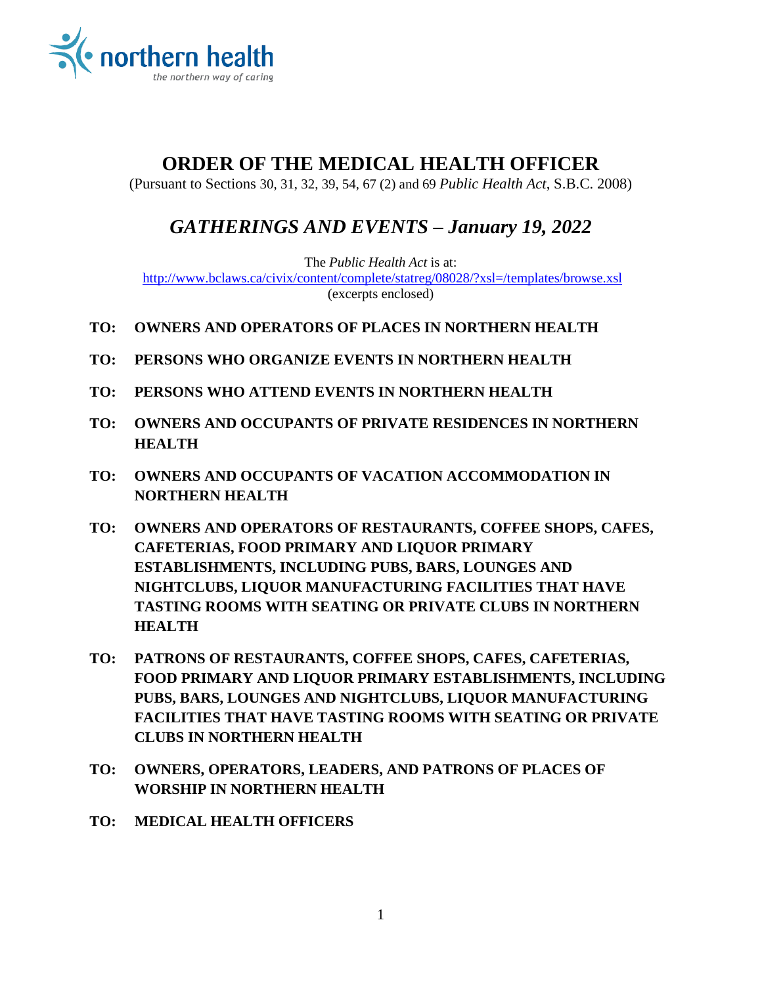

# **ORDER OF THE MEDICAL HEALTH OFFICER**

(Pursuant to Sections 30, 31, 32, 39, 54, 67 (2) and 69 *Public Health Act*, S.B.C. 2008)

# *GATHERINGS AND EVENTS – January 19, 2022*

The *Public Health Act* is at: <http://www.bclaws.ca/civix/content/complete/statreg/08028/?xsl=/templates/browse.xsl> (excerpts enclosed)

- **TO: OWNERS AND OPERATORS OF PLACES IN NORTHERN HEALTH**
- **TO: PERSONS WHO ORGANIZE EVENTS IN NORTHERN HEALTH**
- **TO: PERSONS WHO ATTEND EVENTS IN NORTHERN HEALTH**
- **TO: OWNERS AND OCCUPANTS OF PRIVATE RESIDENCES IN NORTHERN HEALTH**
- **TO: OWNERS AND OCCUPANTS OF VACATION ACCOMMODATION IN NORTHERN HEALTH**
- **TO: OWNERS AND OPERATORS OF RESTAURANTS, COFFEE SHOPS, CAFES, CAFETERIAS, FOOD PRIMARY AND LIQUOR PRIMARY ESTABLISHMENTS, INCLUDING PUBS, BARS, LOUNGES AND NIGHTCLUBS, LIQUOR MANUFACTURING FACILITIES THAT HAVE TASTING ROOMS WITH SEATING OR PRIVATE CLUBS IN NORTHERN HEALTH**
- **TO: PATRONS OF RESTAURANTS, COFFEE SHOPS, CAFES, CAFETERIAS, FOOD PRIMARY AND LIQUOR PRIMARY ESTABLISHMENTS, INCLUDING PUBS, BARS, LOUNGES AND NIGHTCLUBS, LIQUOR MANUFACTURING FACILITIES THAT HAVE TASTING ROOMS WITH SEATING OR PRIVATE CLUBS IN NORTHERN HEALTH**
- **TO: OWNERS, OPERATORS, LEADERS, AND PATRONS OF PLACES OF WORSHIP IN NORTHERN HEALTH**
- **TO: MEDICAL HEALTH OFFICERS**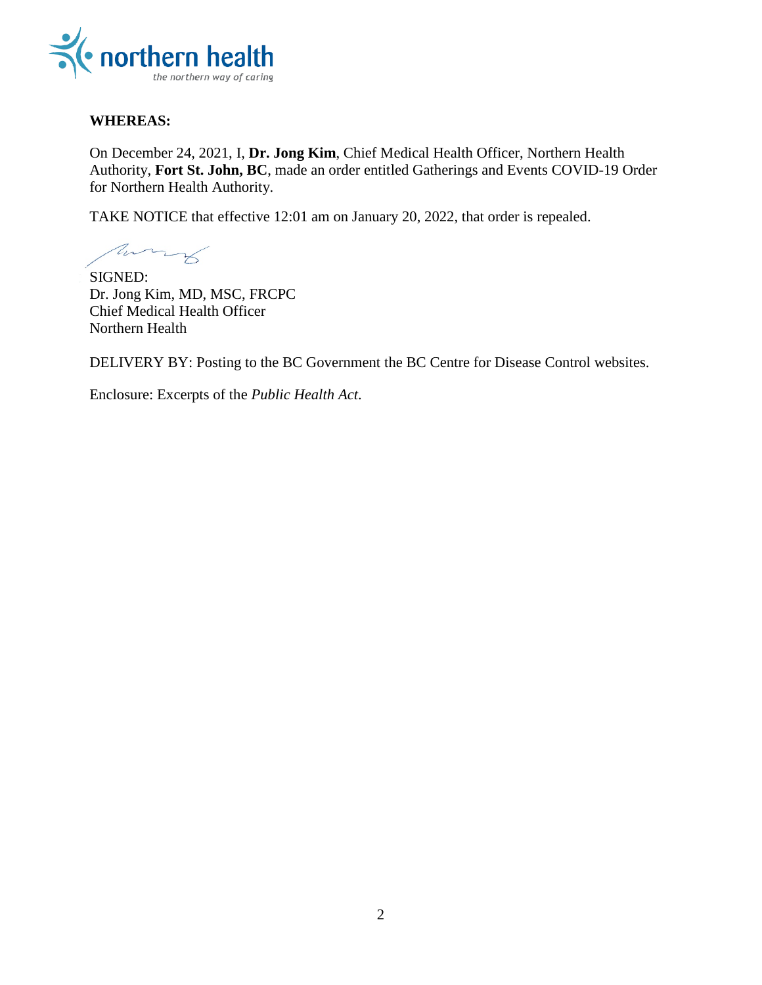

#### **WHEREAS:**

On December 24, 2021, I, **Dr. Jong Kim**, Chief Medical Health Officer, Northern Health Authority, **Fort St. John, BC**, made an order entitled Gatherings and Events COVID-19 Order for Northern Health Authority.

TAKE NOTICE that effective 12:01 am on January 20, 2022, that order is repealed.

Mary

SIGNED: Dr. Jong Kim, MD, MSC, FRCPC Chief Medical Health Officer Northern Health

DELIVERY BY: Posting to the BC Government the BC Centre for Disease Control websites.

Enclosure: Excerpts of the *Public Health Act*.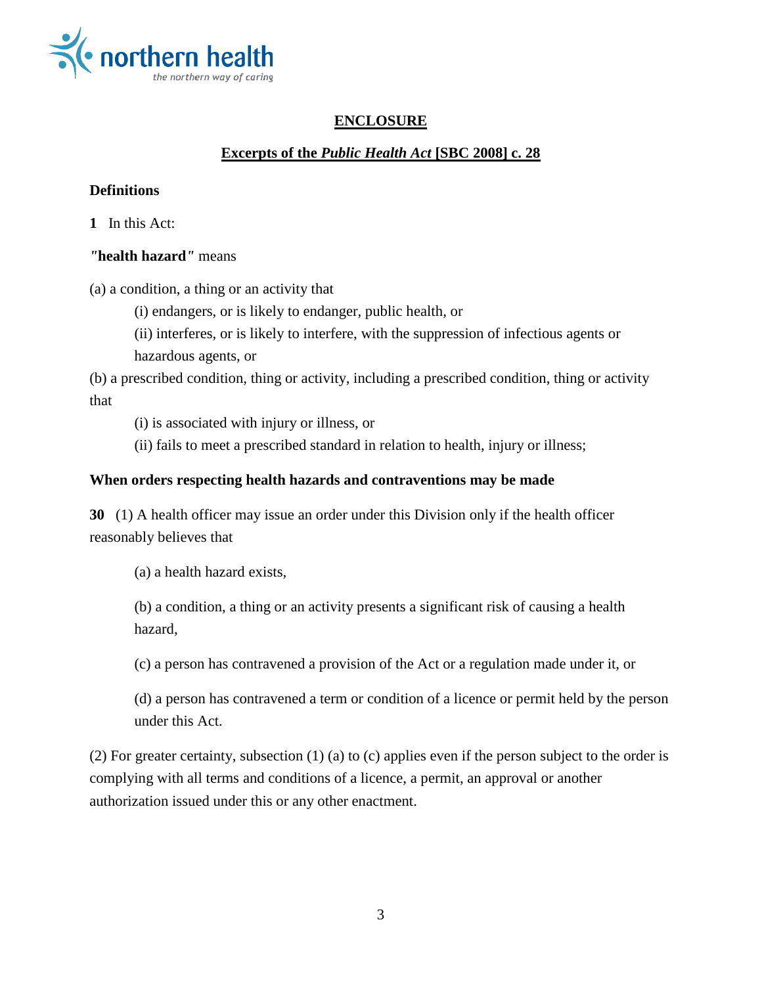

# **ENCLOSURE**

# **Excerpts of the** *Public Health Act* **[SBC 2008] c. 28**

### **Definitions**

**1** In this Act:

## *"***health hazard***"* means

(a) a condition, a thing or an activity that

(i) endangers, or is likely to endanger, public health, or

(ii) interferes, or is likely to interfere, with the suppression of infectious agents or hazardous agents, or

(b) a prescribed condition, thing or activity, including a prescribed condition, thing or activity that

(i) is associated with injury or illness, or

(ii) fails to meet a prescribed standard in relation to health, injury or illness;

## **When orders respecting health hazards and contraventions may be made**

**30** (1) A health officer may issue an order under this Division only if the health officer reasonably believes that

(a) a health hazard exists,

(b) a condition, a thing or an activity presents a significant risk of causing a health hazard,

(c) a person has contravened a provision of the Act or a regulation made under it, or

(d) a person has contravened a term or condition of a licence or permit held by the person under this Act.

(2) For greater certainty, subsection (1) (a) to (c) applies even if the person subject to the order is complying with all terms and conditions of a licence, a permit, an approval or another authorization issued under this or any other enactment.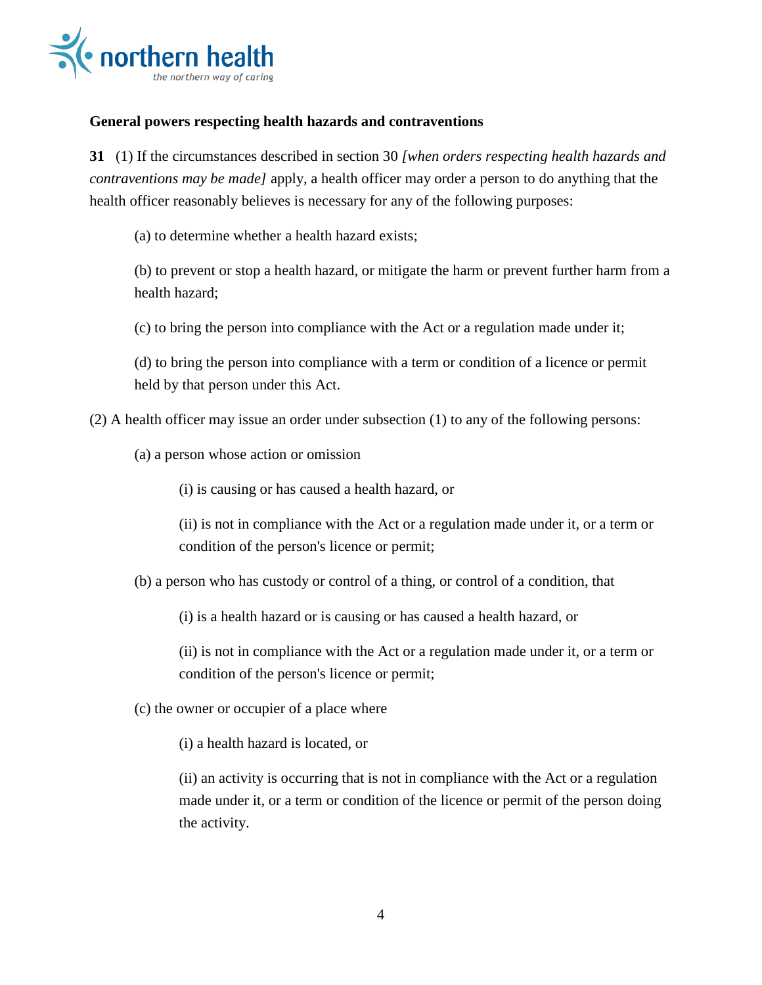

#### **General powers respecting health hazards and contraventions**

**31** (1) If the circumstances described in section 30 *[when orders respecting health hazards and contraventions may be made]* apply, a health officer may order a person to do anything that the health officer reasonably believes is necessary for any of the following purposes:

(a) to determine whether a health hazard exists;

(b) to prevent or stop a health hazard, or mitigate the harm or prevent further harm from a health hazard;

(c) to bring the person into compliance with the Act or a regulation made under it;

(d) to bring the person into compliance with a term or condition of a licence or permit held by that person under this Act.

(2) A health officer may issue an order under subsection (1) to any of the following persons:

(a) a person whose action or omission

(i) is causing or has caused a health hazard, or

(ii) is not in compliance with the Act or a regulation made under it, or a term or condition of the person's licence or permit;

(b) a person who has custody or control of a thing, or control of a condition, that

(i) is a health hazard or is causing or has caused a health hazard, or

(ii) is not in compliance with the Act or a regulation made under it, or a term or condition of the person's licence or permit;

(c) the owner or occupier of a place where

(i) a health hazard is located, or

(ii) an activity is occurring that is not in compliance with the Act or a regulation made under it, or a term or condition of the licence or permit of the person doing the activity.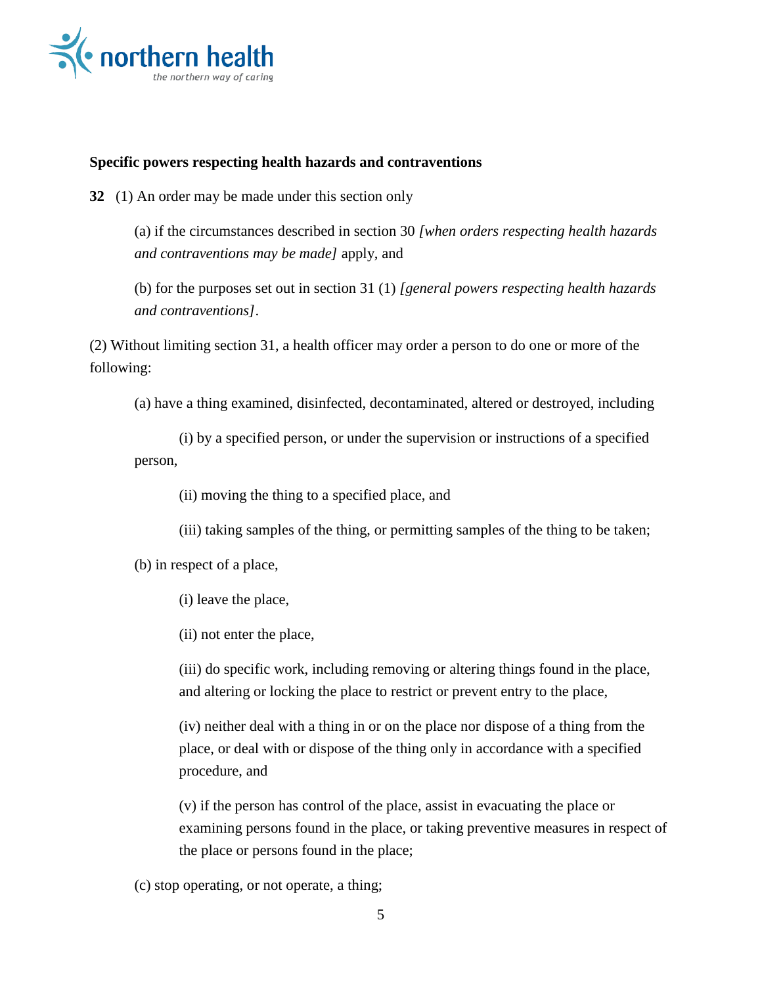

#### **Specific powers respecting health hazards and contraventions**

**32** (1) An order may be made under this section only

(a) if the circumstances described in section 30 *[when orders respecting health hazards and contraventions may be made]* apply, and

(b) for the purposes set out in section 31 (1) *[general powers respecting health hazards and contraventions]*.

(2) Without limiting section 31, a health officer may order a person to do one or more of the following:

(a) have a thing examined, disinfected, decontaminated, altered or destroyed, including

(i) by a specified person, or under the supervision or instructions of a specified person,

(ii) moving the thing to a specified place, and

(iii) taking samples of the thing, or permitting samples of the thing to be taken;

(b) in respect of a place,

(i) leave the place,

(ii) not enter the place,

(iii) do specific work, including removing or altering things found in the place, and altering or locking the place to restrict or prevent entry to the place,

(iv) neither deal with a thing in or on the place nor dispose of a thing from the place, or deal with or dispose of the thing only in accordance with a specified procedure, and

(v) if the person has control of the place, assist in evacuating the place or examining persons found in the place, or taking preventive measures in respect of the place or persons found in the place;

(c) stop operating, or not operate, a thing;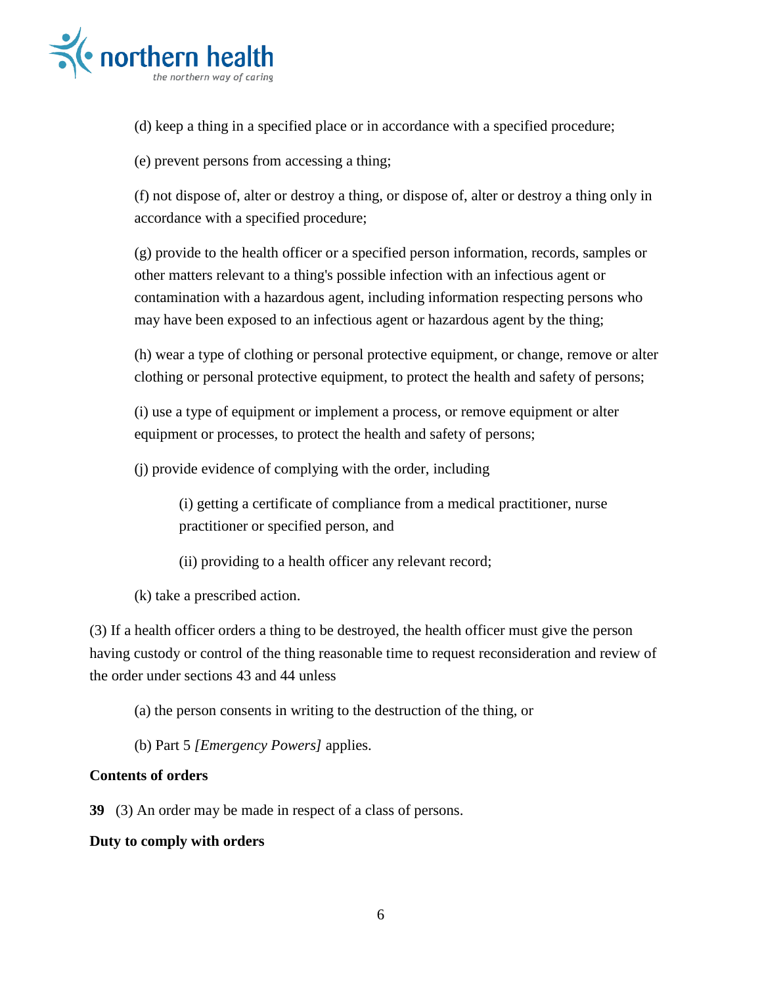

(d) keep a thing in a specified place or in accordance with a specified procedure;

(e) prevent persons from accessing a thing;

(f) not dispose of, alter or destroy a thing, or dispose of, alter or destroy a thing only in accordance with a specified procedure;

(g) provide to the health officer or a specified person information, records, samples or other matters relevant to a thing's possible infection with an infectious agent or contamination with a hazardous agent, including information respecting persons who may have been exposed to an infectious agent or hazardous agent by the thing;

(h) wear a type of clothing or personal protective equipment, or change, remove or alter clothing or personal protective equipment, to protect the health and safety of persons;

(i) use a type of equipment or implement a process, or remove equipment or alter equipment or processes, to protect the health and safety of persons;

(j) provide evidence of complying with the order, including

(i) getting a certificate of compliance from a medical practitioner, nurse practitioner or specified person, and

(ii) providing to a health officer any relevant record;

(k) take a prescribed action.

(3) If a health officer orders a thing to be destroyed, the health officer must give the person having custody or control of the thing reasonable time to request reconsideration and review of the order under sections 43 and 44 unless

(a) the person consents in writing to the destruction of the thing, or

(b) Part 5 *[Emergency Powers]* applies.

## **Contents of orders**

**39** (3) An order may be made in respect of a class of persons.

### **Duty to comply with orders**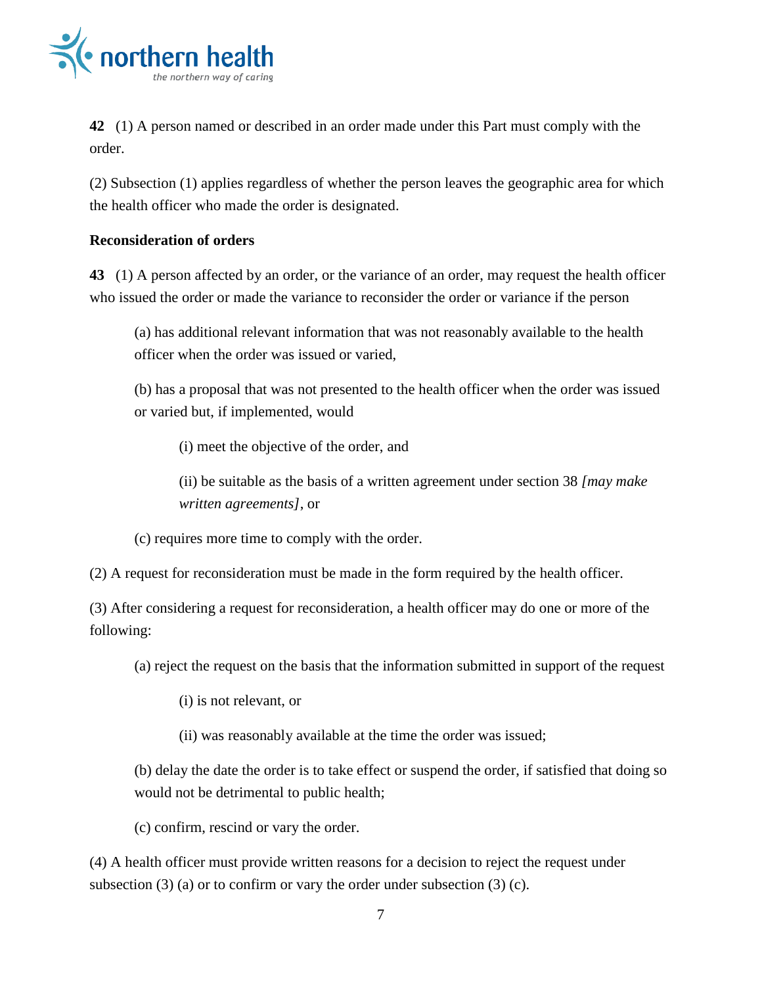

**42** (1) A person named or described in an order made under this Part must comply with the order.

(2) Subsection (1) applies regardless of whether the person leaves the geographic area for which the health officer who made the order is designated.

#### **Reconsideration of orders**

**43** (1) A person affected by an order, or the variance of an order, may request the health officer who issued the order or made the variance to reconsider the order or variance if the person

(a) has additional relevant information that was not reasonably available to the health officer when the order was issued or varied,

(b) has a proposal that was not presented to the health officer when the order was issued or varied but, if implemented, would

(i) meet the objective of the order, and

(ii) be suitable as the basis of a written agreement under section 38 *[may make written agreements]*, or

(c) requires more time to comply with the order.

(2) A request for reconsideration must be made in the form required by the health officer.

(3) After considering a request for reconsideration, a health officer may do one or more of the following:

(a) reject the request on the basis that the information submitted in support of the request

- (i) is not relevant, or
- (ii) was reasonably available at the time the order was issued;

(b) delay the date the order is to take effect or suspend the order, if satisfied that doing so would not be detrimental to public health;

(c) confirm, rescind or vary the order.

(4) A health officer must provide written reasons for a decision to reject the request under subsection  $(3)$  (a) or to confirm or vary the order under subsection  $(3)$  (c).